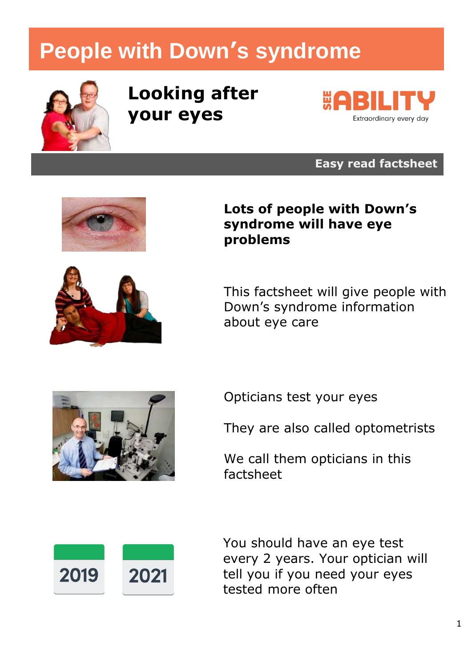# **People with Down's syndrome**



**Looking after your eyes**



**Easy read factsheet**





This factsheet will give people with Down's syndrome information about eye care



Opticians test your eyes

They are also called optometrists

We call them opticians in this factsheet



You should have an eye test every 2 years. Your optician will tell you if you need your eyes tested more often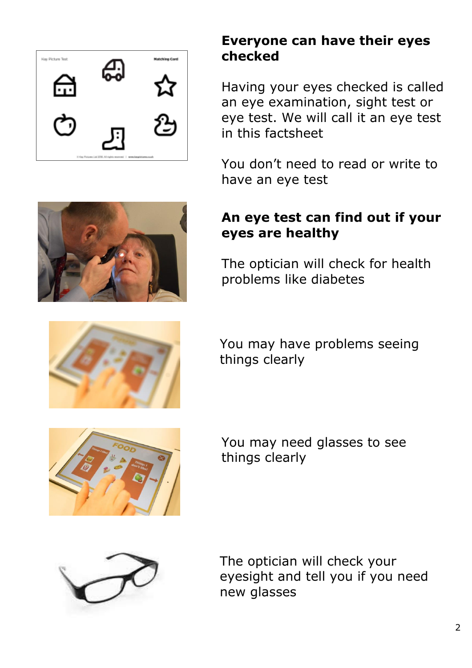

### **Everyone can have their eyes checked**

Having your eyes checked is called an eye examination, sight test or eye test. We will call it an eye test in this factsheet

You don't need to read or write to have an eye test

### **An eye test can find out if your eyes are healthy**

The optician will check for health problems like diabetes



You may have problems seeing things clearly



You may need glasses to see things clearly



The optician will check your eyesight and tell you if you need new glasses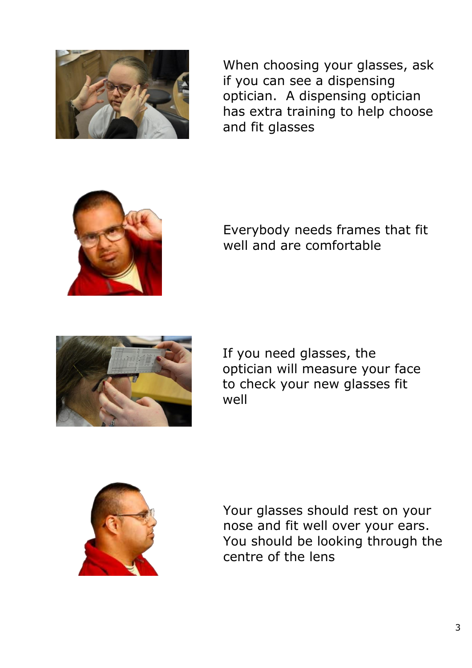

When choosing your glasses, ask if you can see a dispensing optician. A dispensing optician has extra training to help choose and fit glasses



Everybody needs frames that fit well and are comfortable



If you need glasses, the optician will measure your face to check your new glasses fit well



Your glasses should rest on your nose and fit well over your ears. You should be looking through the centre of the lens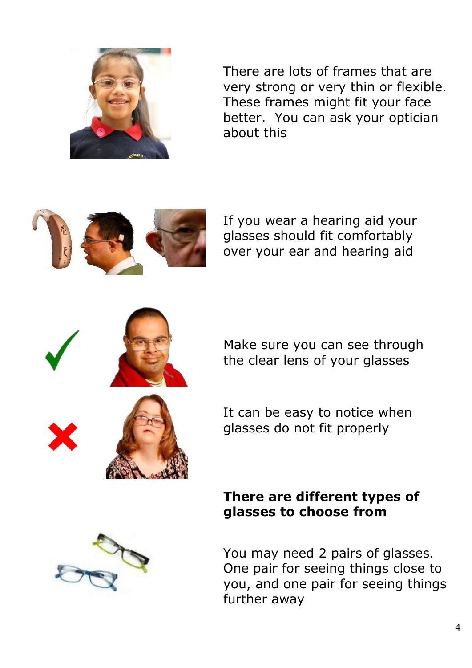

There are lots of frames that are very strong or very thin or flexible. These frames might fit your face better. You can ask your optician about this



If you wear a hearing aid your glasses should fit comfortably over your ear and hearing aid

Make sure you can see through the clear lens of your glasses

It can be easy to notice when glasses do not fit properly

### **There are different types of glasses to choose from**

You may need 2 pairs of glasses. One pair for seeing things close to you, and one pair for seeing things further away

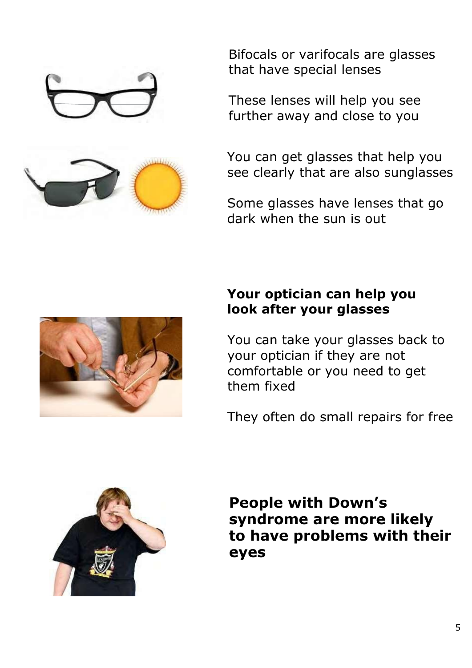Bifocals or varifocals are glasses that have special lenses

These lenses will help you see further away and close to you

You can get glasses that help you see clearly that are also sunglasses

Some glasses have lenses that go dark when the sun is out

### **Your optician can help you look after your glasses**

You can take your glasses back to your optician if they are not comfortable or you need to get them fixed

They often do small repairs for free

**People with Down's syndrome are more likely to have problems with their eyes**







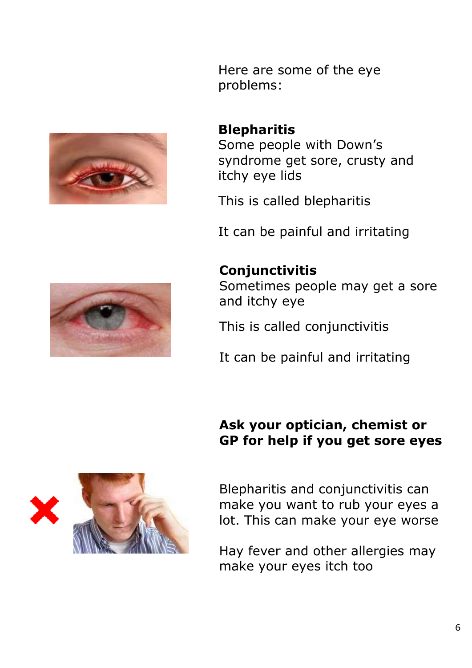

Here are some of the eye problems:

### **Blepharitis**

Some people with Down's syndrome get sore, crusty and itchy eye lids

This is called blepharitis

It can be painful and irritating

#### **Conjunctivitis**

Sometimes people may get a sore and itchy eye

This is called conjunctivitis

It can be painful and irritating

#### **Ask your optician, chemist or GP for help if you get sore eyes**



Blepharitis and conjunctivitis can make you want to rub your eyes a lot. This can make your eye worse

Hay fever and other allergies may make your eyes itch too

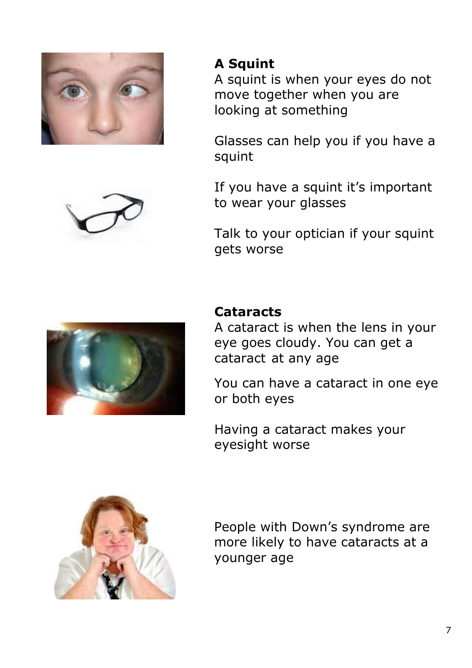



## **A Squint**

A squint is when your eyes do not move together when you are looking at something

Glasses can help you if you have a squint

If you have a squint it's important to wear your glasses

Talk to your optician if your squint gets worse



### **Cataracts**

A cataract is when the lens in your eye goes cloudy. You can get a cataract at any age

You can have a cataract in one eye or both eyes

Having a cataract makes your eyesight worse



People with Down's syndrome are more likely to have cataracts at a younger age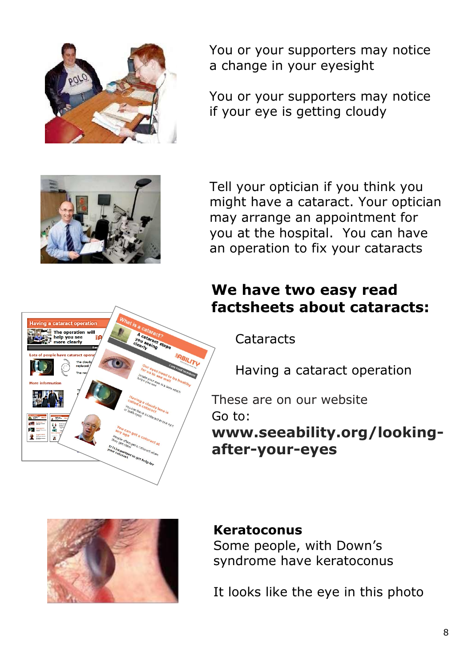

You or your supporters may notice a change in your eyesight

You or your supporters may notice if your eye is getting cloudy



Tell your optician if you think you might have a cataract. Your optician may arrange an appointment for you at the hospital. You can have an operation to fix your cataracts

### **We have two easy read factsheets about cataracts:**

**Cataracts** 

Having a cataract operation

These are on our website

**[www.seeability.org/looking](http://www.seeability.org/looking-after-your-eyes)[after-your-eyes](http://www.seeability.org/looking-after-your-eyes)**



# **Keratoconus**

Some people, with Down's syndrome have keratoconus

It looks like the eye in this photo

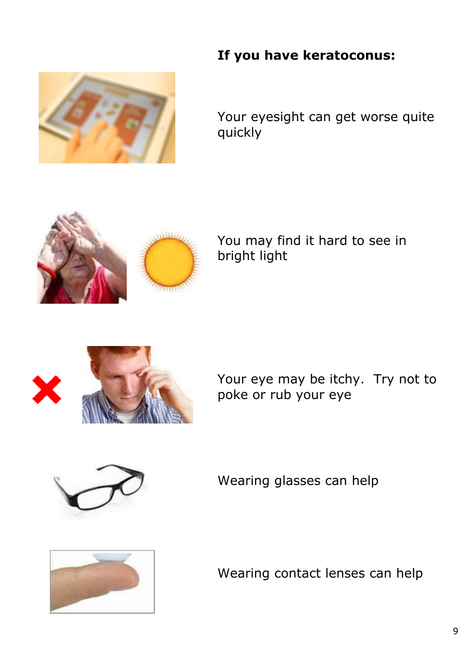

**If you have keratoconus:**

Your eyesight can get worse quite quickly



You may find it hard to see in bright light



Your eye may be itchy. Try not to poke or rub your eye



Wearing glasses can help



Wearing contact lenses can help